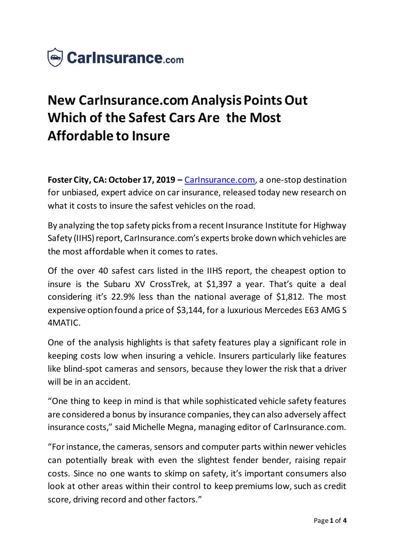

# **New CarInsurance.com Analysis Points Out Which of the Safest Cars Are the Most Affordable to Insure**

**Foster City, CA: October 17, 2019 –** [CarInsurance.com,](https://www.carinsurance.com/) a one-stop destination for unbiased, expert advice on car insurance, released today new research on what it costs to insure the safest vehicles on the road.

By analyzing the top safety picks from a recent Insurance Institute for Highway Safety (IIHS) report, CarInsurance.com's experts broke down which vehicles are the most affordable when it comes to rates.

Of the over 40 safest cars listed in the IIHS report, the cheapest option to insure is the Subaru XV CrossTrek, at \$1,397 a year. That's quite a deal considering it's 22.9% less than the national average of \$1,812. The most expensive option found a price of \$3,144, for a luxurious Mercedes E63 AMG S 4MATIC.

One of the analysis highlights is that safety features play a significant role in keeping costs low when insuring a vehicle. Insurers particularly like features like blind-spot cameras and sensors, because they lower the risk that a driver will be in an accident.

"One thing to keep in mind is that while sophisticated vehicle safety features are considered a bonus by insurance companies, they can also adversely affect insurance costs," said Michelle Megna, managing editor of CarInsurance.com.

"For instance, the cameras, sensors and computer parts within newer vehicles can potentially break with even the slightest fender bender, raising repair costs. Since no one wants to skimp on safety, it's important consumers also look at other areas within their control to keep premiums low, such as credit score, driving record and other factors."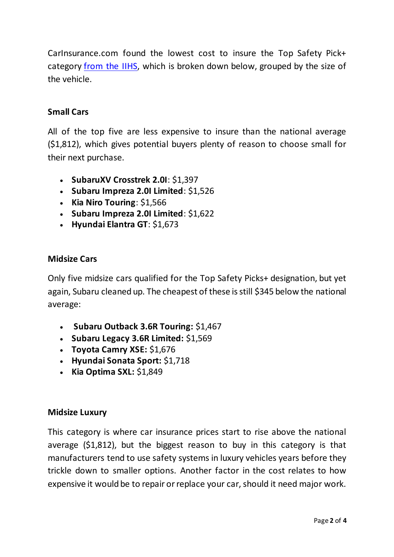CarInsurance.com found the lowest cost to insure the Top Safety Pick+ category [from the IIHS](https://www.iihs.org/ratings), which is broken down below, grouped by the size of the vehicle.

## **Small Cars**

All of the top five are less expensive to insure than the national average (\$1,812), which gives potential buyers plenty of reason to choose small for their next purchase.

- **SubaruXV Crosstrek 2.0I**: \$1,397
- **Subaru Impreza 2.0I Limited**: \$1,526
- **Kia Niro Touring**: \$1,566
- **Subaru Impreza 2.0I Limited**: \$1,622
- **Hyundai Elantra GT**: \$1,673

## **Midsize Cars**

Only five midsize cars qualified for the Top Safety Picks+ designation, but yet again, Subaru cleaned up. The cheapest of these is still \$345 below the national average:

- **Subaru Outback 3.6R Touring:** \$1,467
- **Subaru Legacy 3.6R Limited:** \$1,569
- **Toyota Camry XSE:** \$1,676
- **Hyundai Sonata Sport:** \$1,718
- **Kia Optima SXL: \$1,849**

#### **Midsize Luxury**

This category is where car insurance prices start to rise above the national average (\$1,812), but the biggest reason to buy in this category is that manufacturers tend to use safety systems in luxury vehicles years before they trickle down to smaller options. Another factor in the cost relates to how expensive it would be to repair or replace your car, should it need major work.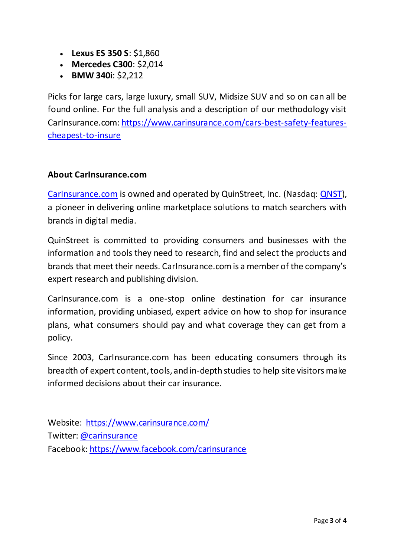- **Lexus ES 350 S**: \$1,860
- **Mercedes C300**: \$2,014
- **BMW 340i**: \$2,212

Picks for large cars, large luxury, small SUV, Midsize SUV and so on can all be found online. For the full analysis and a description of our methodology visit CarInsurance.com: [https://www.carinsurance.com/cars-best-safety-features](https://www.carinsurance.com/cars-best-safety-features-cheapest-to-insure)[cheapest-to-insure](https://www.carinsurance.com/cars-best-safety-features-cheapest-to-insure)

## **About CarInsurance.com**

[CarInsurance.com](https://www.carinsurance.com/) is owned and operated by QuinStreet, Inc. (Nasdaq: [QNST\)](https://www.nasdaq.com/market-activity/stocks/qnst), a pioneer in delivering online marketplace solutions to match searchers with brands in digital media.

QuinStreet is committed to providing consumers and businesses with the information and tools they need to research, find and select the products and brands that meet their needs. CarInsurance.com is a member of the company's expert research and publishing division.

CarInsurance.com is a one-stop online destination for car insurance information, providing unbiased, expert advice on how to shop for insurance plans, what consumers should pay and what coverage they can get from a policy.

Since 2003, CarInsurance.com has been educating consumers through its breadth of expert content, tools, and in-depth studies to help site visitors make informed decisions about their car insurance.

Website: <https://www.carinsurance.com/> Twitter: [@carinsurance](https://twitter.com/carinsurance) Facebook: <https://www.facebook.com/carinsurance>